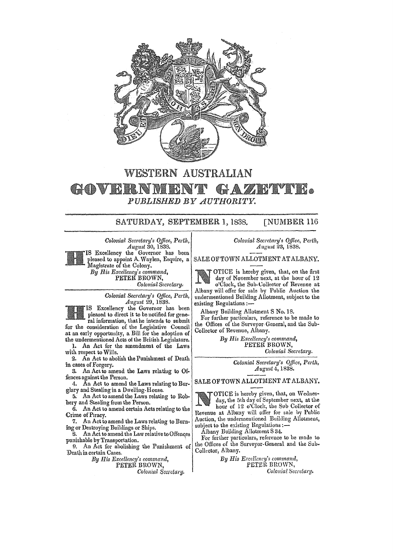

## WESTERN AUSTRALIAN

G • *PUBLISHED BY AUTHORITY.*  GOVEI

## SATURDAY, SEPTEMBER 1, 1838. [NUMBER 116

*Colonial Secretary's Office, Perth, A. ugusi* 30, 1838.

Excellency the Governor has been pleased to appoint A. Waylen, Esquire, a Magistrate of the Colony.

*By His Excellency's command,*  PETER BROWN,  $\emph{Colonial Secretary}.$ 

*Colonial Secretary's Office, Perth, A.ugust* 29, 1838.

IS Excellency the Governor has been pleased to direct it to be notified for general information, that he intends to submit

for the consideration of. the Legislative Council at an early opportunity, a Bill for the adoption of the undermentioned Acts ot the British Legislature.

1. An Act for the amendment of the Laws with respect to Wills.

2. An Act to abolish the Punishment of Death in cases of Forgery.

3. An Act to amend the Laws relatiug to Offences against the Person.

4. An Act to amend the Laws relating to Burglary and Stealing in a Dwelling-House.

5. An Act to amend the Laws relating to Robbery and Stealing from the Person.

6. An Act to amend certain Acts relating to the Crime of PIracy.

7. An Act to amend the Laws relating to Burning or Destroying Buildings or Ships.

8. An Act to amend the Law relative to Offenges punishable by Transportation.

9. An Act for abolishing the Punishment of Death in certain Cases.

*By [['is Rccellency's command,*  PETER BROWN, *Colonial Secretary.*  *Colonial Secretary's Office, Perth, August* 23, 1838.

SALE OF TOWN ALLOTMENT AT ALBANY.

OTICE is hereby given, that, on the first day of November next, at the hour of 12 o'Clock, the Sub-Collector of Revenue at Albany will offer for sale by Public Auction the undermentioned Building Allotment, subject to the existing Regulations ;-

Albany Building Allotment S No. 18.

For further particulars, reference to be made to the Offices of the Surveyor-General, and the Sub-Collector of Revenue, Albany.

> *By His Excellency's command,*  PETER BROWN, *Colonial Secretary.*

> > *Colonial Secretary's Office, Perth, August* 4,1838.

SALE OF TOWN ALLOTMENT AT ALBANY.

OTICE is hereby given, that, on Wednesday, the 5th day of September next, at the hour of 12 o'Clock, the Sub Collector of Revenue at Albany will offer for sale by Public Auction, the undermentioned Building Allotment, subject to the existing Regulations:-

Alhany Building Allotment S 34.

For further particulars, reference to be made to the Offices of the Surveyor-General and the Sub. Collector, Albany.

> By His Excellency's command, PETER BROWN, *Colonial fiecrelary.*